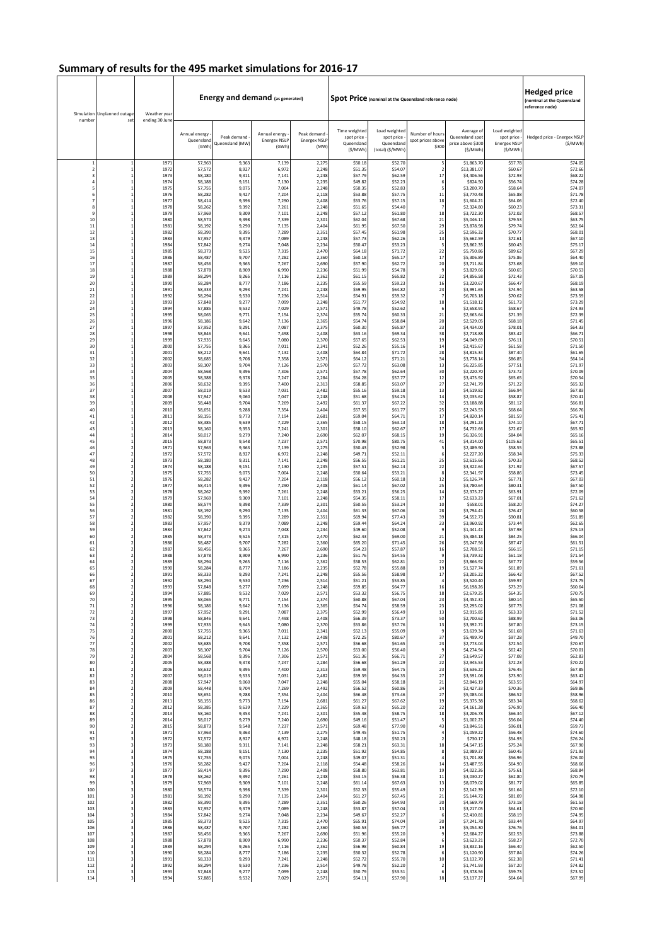| number                  | Simulation Unplanned outage<br>set         | Weather year<br>ending 30 June |                                      | <b>Energy and demand (as generated)</b> |                                               |                                            |                                                       |                                                               | Spot Price (nominal at the Queensland reference node) |                                                               | <b>Hedged price</b><br>(nominal at the Queensland<br>reference node) |                                        |
|-------------------------|--------------------------------------------|--------------------------------|--------------------------------------|-----------------------------------------|-----------------------------------------------|--------------------------------------------|-------------------------------------------------------|---------------------------------------------------------------|-------------------------------------------------------|---------------------------------------------------------------|----------------------------------------------------------------------|----------------------------------------|
|                         |                                            |                                | Annual energy<br>Queensland<br>(GWh) | Peak demand<br>Queensland (MW)          | Annual energy<br><b>Energex NSLI</b><br>(GWh) | Peak demand<br><b>Energex NSLP</b><br>(MW) | Time weighted<br>spot price<br>Queensland<br>(\$/MWh) | Load weighted<br>spot price<br>Queensland<br>(total) (\$/MWh) | Number of hours<br>spot prices above<br>\$300         | Average of<br>Queensland spot<br>price above \$300<br>(\$/MWh | Load weighted<br>spot price<br><b>Energex NSLF</b><br>(\$/MWh)       | Hedged price - Energex NSLF<br>(S/MWh) |
| $\mathbf{1}$            |                                            | 1971                           | 57,963                               | 9,363                                   | 7,139                                         | 2,275                                      | \$50.18                                               | \$52.70                                                       | 5                                                     | \$1,863.70                                                    | \$57.78                                                              | \$74.05                                |
| $\overline{2}$          |                                            | 1972                           | 57,572                               | 8,927                                   | 6,972                                         | 2.248                                      | \$51.35                                               | \$54.07                                                       | $\overline{2}$                                        | \$13,381.07                                                   | \$60.67                                                              | \$72.66                                |
| $\overline{\mathbf{3}}$ |                                            | 1973                           | 58,180                               | 9,311                                   | 7,141                                         | 2,248                                      | \$57.79                                               | \$62.59                                                       | 17                                                    | \$4,406.56                                                    | \$72.93                                                              | \$68.22                                |
| 4                       |                                            | 1974                           | 58,188                               | 9,151                                   | 7,130                                         | 2,235                                      | \$49.82                                               | \$52.23                                                       | -6                                                    | \$824.50                                                      | \$56.74                                                              | \$74.28                                |
| 5                       | $\mathbf{1}$                               | 1975                           | 57,755                               | 9,075                                   | 7,004                                         | 2,248                                      | \$50.35                                               | \$52.83                                                       | 5                                                     | \$3,200.70                                                    | \$58.64                                                              | \$74.07                                |
| 6                       | $\mathbf{1}$                               | 1976                           | 58.282                               | 9.427                                   | 7,204                                         | 2.118                                      | \$53.88                                               | \$57.75                                                       | 11                                                    | \$3,770.48                                                    | \$65.88                                                              | \$71.78                                |
| $\overline{7}$          | $\mathbf{1}$                               | 1977                           | 58,414                               | 9,396                                   | 7,290                                         | 2,408                                      | \$53.76                                               | \$57.15                                                       | 18                                                    | \$1,604.21                                                    | \$64.06                                                              | \$72.40                                |
| 8                       | $\mathbf{1}$                               | 1978                           | 58,262                               | 9,392                                   | 7,26                                          | 2,248                                      | \$51.65                                               | \$54.40                                                       | 7                                                     | \$2,324.80                                                    | \$60.23                                                              | \$73.31                                |
| $\overline{9}$          | $\mathbf{1}$                               | 1979                           | 57,969                               | 9,309                                   | 7,10                                          | 2,248                                      | \$57.12                                               | \$61.80                                                       | 18                                                    | \$3,722.30                                                    | \$72.02                                                              | \$68.57                                |
| 10                      | $\mathbf{1}$                               | 1980                           | 58,574                               | 9,398                                   | 7,339                                         | 2.301                                      | \$62.04                                               | \$67.68                                                       | 21                                                    | \$5,046.11                                                    | \$79.53                                                              | \$63.75                                |
| $11\,$                  | $\mathbf{1}$                               | 1981                           | 58,192                               | 9,290                                   | 7,135                                         | 2,404                                      | \$61.95                                               | \$67.50                                                       | 29                                                    | \$3,878.98                                                    | \$79.74                                                              | \$62.64                                |
| 12                      | $\mathbf{1}$                               | 1982                           | 58,390                               | 9,395                                   | 7,289                                         | 2,351                                      | \$57.45                                               | \$61.98                                                       | 25                                                    | \$2,596.32                                                    | \$70.77                                                              | \$68.01                                |
| 13                      | $\mathbf{1}$                               | 1983                           | 57,957                               | 9,379                                   | 7,089                                         | 2,248                                      | \$57.73                                               | \$62.26                                                       | 13                                                    | \$5,662.59                                                    | \$72.61                                                              | \$67.10                                |
| 14                      | $\,$ 1                                     | 1984                           | 57,842                               | 9,274                                   | 7,048                                         | 2,234                                      | \$50.47                                               | \$53.23                                                       | 5                                                     | \$3,862.35                                                    | \$60.43                                                              | \$75.17                                |
| 15                      | $\mathbf{1}$                               | 1985                           | 58.373                               | 9,525                                   | 7,315                                         | 2,470                                      | \$64.18                                               | \$71.72                                                       | 22                                                    | \$5,750.86                                                    | \$89.62                                                              | \$67.29                                |
| 16                      | $\,$ 1                                     | 1986                           | 58,487                               | 9,707                                   | 7,282                                         | 2,360                                      | \$60.18                                               | \$65.17                                                       | 17                                                    | \$5,306.89                                                    | \$75.86                                                              | \$64.40                                |
| 17                      | $\mathbf{1}$                               | 1987                           | 58,456                               | 9,365                                   | 7,26                                          | 2,690                                      | \$57.90                                               | \$62.72                                                       | 20                                                    | \$3,711.84                                                    | \$73.68                                                              | \$69.10                                |
| 18                      | $\mathbf{1}$                               | 1988                           | 57,878                               | 8,909                                   | 6,990                                         | 2,236                                      | \$51.99                                               | \$54.78                                                       | S                                                     | \$3,829.66                                                    | \$60.65                                                              | \$70.53                                |
| 19                      | $\mathbf{1}$                               | 1989                           | 58.294                               | 9.265                                   | 7,116                                         | 2.362                                      | \$61.19                                               | \$65.82                                                       | 22                                                    | \$4,856.58                                                    | \$72.43                                                              | \$57.05                                |
| 20                      |                                            | 1990                           | 58,284                               | 8,777                                   | 7,186                                         | 2,235                                      | \$55.59                                               | \$59.23                                                       | 16                                                    | \$3,220.67                                                    | \$66.47                                                              | \$68.19                                |
| 21                      | $\mathbf{1}$                               | 1991                           | 58,333                               | 9,293                                   | 7,241                                         | 2,248                                      | \$59.95                                               | \$64.82                                                       | 23                                                    | \$3,991.65                                                    | \$74.94                                                              | \$63.58                                |
| 22                      | $\overline{1}$                             | 1992                           | 58,294                               | 9,530                                   | 7,236                                         | 2,514                                      | \$54.91                                               | \$59.32                                                       | -7                                                    | \$6,703.18                                                    | \$70.62                                                              | \$73.59                                |
| 23                      | 1                                          | 1993                           | 57,848                               | 9.277                                   | 7.099                                         | 2.248                                      | \$51.77                                               | \$54.92                                                       | 18                                                    | \$1.518.12                                                    | \$61.73                                                              | \$73.29                                |
| 24                      | $\mathbf{1}$                               | 1994                           | 57,885                               | 9,532                                   | 7,029                                         | 2,571                                      | \$49.78                                               | \$52.62                                                       | $\epsilon$                                            | \$2,658.91                                                    | \$58.67                                                              | \$74.93                                |
| 25                      | $\mathbf{1}$                               | 1995                           | 58,065                               | 9,771                                   | 7,15                                          | 2,374                                      | \$55.74                                               | \$60.33                                                       | 21                                                    | \$2,663.6                                                     | \$71.39                                                              | \$72.39                                |
| 26                      | $\mathbf{1}$                               | 1996                           | 58,186                               | 9,642                                   | 7,136                                         | 2,365                                      | \$54.74                                               | \$58.84                                                       | 20                                                    | \$2,529.05                                                    | \$68.18                                                              | \$71.45                                |
| 27                      | 1                                          | 1997                           | 57,952                               | 9,291                                   | 7,087                                         | 2,375                                      | \$60.30                                               | \$65.87                                                       | 23<br>38                                              | \$4,434.00                                                    | \$78.01                                                              | \$64.33                                |
| 28<br>29                | $\mathbf{1}$                               | 1998<br>1999                   | 58,846<br>57,935                     | 9,641<br>9,645                          | 7,498<br>7,080                                | 2,408<br>2,370                             | \$63.16<br>\$57.65                                    | \$69.34<br>\$62.53                                            | 19                                                    | \$2,718.88<br>\$4,049.69                                      | \$83.42<br>\$76.11                                                   | \$66.71<br>\$70.51                     |
| 30                      | $\mathbf{1}$                               | 2000                           | 57,755                               | 9,365                                   | 7,011                                         | 2,341                                      | \$52.26                                               | \$55.16                                                       | 14                                                    | \$2,415.67                                                    | \$61.58                                                              | \$71.50                                |
| 31                      | $\mathbf{1}$                               | 2001                           | 58,212                               | 9.641                                   | 7,132                                         | 2,408                                      | \$64.84                                               | \$71.72                                                       | 28                                                    | \$4,815.34                                                    | \$87.40                                                              | \$61.65                                |
| 32                      | $\mathbf{1}$                               | 2002                           | 58,685                               | 9,708                                   | 7,358                                         | 2,571                                      | \$64.12                                               | \$71.21                                                       | 34                                                    | \$3,778.14                                                    | \$86.85                                                              | \$64.14                                |
| 33                      | $\mathbf{1}$                               | 2003                           | 58,107                               | 9,704                                   | 7,126                                         | 2,570                                      | \$57.72                                               | \$63.08                                                       | 13                                                    | \$6,225.8                                                     | \$77.51                                                              | \$71.97                                |
| 34                      | $\mathbf{1}$                               | 2004                           | 58,568                               | 9,396                                   | 7,306                                         | 2,571                                      | \$57.78                                               | \$62.64                                                       | 30                                                    | \$2,220.70                                                    | \$73.72                                                              | \$70.09                                |
| 35                      | $\mathbf{1}$                               | 2005                           | 58,388                               | 9,378                                   | 7,247                                         | 2,284                                      | \$54.28                                               | \$57.77                                                       | 12                                                    | \$3,475.92                                                    | \$65.65                                                              | \$70.54                                |
| 36                      | $\mathbf{1}$                               | 2006                           | 58,632                               | 9.395                                   | 7,400                                         | 2.313                                      | \$58.85                                               | \$63.07                                                       | 27                                                    | \$2,741.79                                                    | \$71.22                                                              | \$65.32                                |
| 37                      |                                            | 2007                           | 58,019                               | 9,533                                   | 7,031                                         | 2,482                                      | \$55.16                                               | \$59.18                                                       | 13                                                    | \$4,519.82                                                    | \$66.94                                                              | \$67.83                                |
| 38                      |                                            | 2008                           | 57,947                               | 9,060                                   | 7,047                                         | 2,248                                      | \$51.68                                               | \$54.25                                                       | 14                                                    | \$2,035.62                                                    | \$58.87                                                              | \$70.41                                |
| 39                      | $\mathbf{1}$                               | 2009                           | 58,448                               | 9,704                                   | 7,269                                         | 2,492                                      | \$61.37                                               | \$67.22                                                       | 32                                                    | \$3,188.88                                                    | \$81.12                                                              | \$66.81                                |
| 40                      | $\mathbf{1}$                               | 2010                           | 58.651                               | 9,288                                   | 7.354                                         | 2,404                                      | \$57.55                                               | \$61.77                                                       | 25                                                    | \$2,243.53                                                    | \$68.64                                                              | \$66.76                                |
| 41                      | $\mathbf{1}$                               | 2011                           | 58,155                               | 9,773                                   | 7,194                                         | 2,681                                      | \$59.04                                               | \$64.71                                                       | 17                                                    | \$4,820.1                                                     | \$81.59                                                              | \$75.41                                |
| 42                      | $\mathbf{1}$                               | 2012                           | 58,385                               | 9,639                                   | 7,229                                         | 2,365                                      | \$58.15                                               | \$63.13                                                       | 18                                                    | \$4,291.23                                                    | \$74.10                                                              | \$67.71                                |
| 43                      | $\mathbf{1}$                               | 2013                           | 58,160                               | 9,353                                   | 7,241                                         | 2,301                                      | \$58.10                                               | \$62.67                                                       | 17                                                    | \$4,732.66                                                    | \$72.67                                                              | \$65.92                                |
| 44                      | $\mathbf{1}$                               | 2014                           | 58,017                               | 9,279                                   | 7,240                                         | 2,690                                      | \$62.07                                               | \$68.15                                                       | 19                                                    | \$6,326.91                                                    | \$84.04                                                              | \$65.16                                |
| 45                      | $\mathbf{1}$                               | 2015                           | 58,873                               | 9,548                                   | 7,237                                         | 2,571                                      | \$70.98                                               | \$80.75                                                       | 41                                                    | \$4,314.00                                                    | \$105.62                                                             | \$65.51                                |
| 46                      | $\overline{2}$                             | 1971                           | 57,963                               | 9,363                                   | 7,139                                         | 2,275                                      | \$50.43                                               | \$52.98                                                       | 5                                                     | \$2,489.90                                                    | \$58.55                                                              | \$73.88                                |
| 47                      | $\mathbf 2$                                | 1972                           | 57,572                               | 8,927                                   | 6,972                                         | 2,248                                      | \$49.71                                               | \$52.11                                                       | $\epsilon$                                            | \$2,227.20                                                    | \$58.34                                                              | \$75.33                                |
| 48                      | $\overline{\mathbf{2}}$                    | 1973                           | 58,180                               | 9,311                                   | 7,141                                         | 2.248                                      | \$56.55                                               | \$61.21                                                       | 25                                                    | \$2,615.66                                                    | \$70.33                                                              | \$68.52                                |
| 49                      | $\overline{\mathbf{2}}$                    | 1974                           | 58,188                               | 9,151                                   | 7,130                                         | 2,235                                      | \$57.51                                               | \$62.14                                                       | 22                                                    | \$3,322.64                                                    | \$71.92                                                              | \$67.57                                |
| 50                      | $\mathbf 2$                                | 1975                           | 57,755                               | 9,075                                   | 7,004                                         | 2,248                                      | \$50.64                                               | \$53.21                                                       | 8                                                     | \$2,341.97                                                    | \$58.86                                                              | \$73.45                                |
| 51                      | $\mathbf 2$                                | 1976                           | 58,282                               | 9,427                                   | 7,204                                         | 2,118                                      | \$56.12                                               | \$60.18                                                       | 12                                                    | \$5,126.74                                                    | \$67.71                                                              | \$67.03                                |
| 52                      | $\overline{2}$                             | 1977                           | 58,414                               | 9.396                                   | 7,290                                         | 2.408                                      | \$61.14                                               | \$67.02                                                       | 25                                                    | \$3,780.64                                                    | \$80.31                                                              | \$67.50                                |
| 53                      | $\overline{2}$                             | 1978                           | 58,262                               | 9,392                                   | 7,261                                         | 2,248                                      | \$53.21                                               | \$56.25                                                       | 14                                                    | \$2,375.27                                                    | \$63.91                                                              | \$72.09                                |
| 54                      | $\overline{2}$                             | 1979                           | 57,969                               | 9,309                                   | 7,101                                         | 2,248                                      | \$54.35                                               | \$58.11                                                       | 17                                                    | \$2,633.23                                                    | \$67.01                                                              | \$71.62                                |
| 55                      | $\overline{2}$                             | 1980                           | 58,574                               | 9,398                                   | 7,339                                         | 2,301                                      | \$50.55                                               | \$53.24                                                       | 10                                                    | \$558.01                                                      | \$58.20                                                              | \$74.27                                |
| 56                      | $\overline{2}$                             | 1981                           | 58,192                               | 9,290                                   | 7,135                                         | 2,404                                      | \$61.33                                               | \$67.06                                                       | 28                                                    | \$3,794.41                                                    | \$76.47                                                              | \$60.58                                |
| 57                      | $\overline{2}$                             | 1982                           | 58,390                               | 9.395                                   | 7,289                                         | 2.351                                      | \$69.94                                               | \$77.43                                                       | 39                                                    | \$4,552.73                                                    | \$90.81                                                              | \$51.89                                |
| 58                      | $\overline{2}$                             | 1983                           | 57,957                               | 9,379                                   | 7,089                                         | 2,248                                      | \$59.44                                               | \$64.24                                                       | 23                                                    | \$3,960.92                                                    | \$73.44                                                              | \$62.65                                |
| 59                      | $\overline{2}$                             | 1984                           | 57,842                               | 9,274                                   | 7,048                                         | 2,234                                      | \$49.60                                               | \$52.08                                                       | S                                                     | \$1,441.41                                                    | \$57.98                                                              | \$75.13                                |
| 60                      | $\overline{2}$                             | 1985                           | 58,373                               | 9,525                                   | 7,315                                         | 2,470                                      | \$62.43                                               | \$69.00                                                       | 21                                                    | \$5,384.18                                                    | \$84.25                                                              | \$66.04                                |
| 61                      | $\overline{2}$                             | 1986                           | 58,487                               | 9,707                                   | 7,282                                         | 2.360                                      | \$65.20                                               | \$71.45                                                       | 26                                                    | \$5,247.56                                                    | \$87.47                                                              |                                        |
| 62                      | $\overline{2}$                             | 1987                           | 58,456                               | 9,365                                   | 7,267                                         | 2,690                                      | \$54.23                                               | \$57.87                                                       | 16                                                    | \$2,708.51                                                    | \$66.15                                                              | \$61.51<br>\$71.15                     |
| 63                      | $\mathbf 2$                                | 1988                           | 57,878                               | 8,909                                   | 6,990                                         | 2,236                                      | \$51.76                                               | \$54.55                                                       | S                                                     | \$3,739.32                                                    | \$61.18                                                              | \$71.54                                |
| 64                      | $\mathbf 2$                                | 1989                           | 58,294                               | 9,265                                   | 7,116                                         | 2,362                                      | \$58.53                                               | \$62.81                                                       | 22                                                    | \$3,866.92                                                    | \$67.77                                                              | \$59.56                                |
| 65                      | $\overline{2}$                             | 1990                           | 58.284                               | 8,777                                   | 7.186                                         | 2,235                                      | \$52.78                                               | \$55.88                                                       | 19                                                    | \$1,527.74                                                    | \$61.89                                                              | \$71.61                                |
| 66                      | $\overline{2}$                             | 1991                           | 58,333                               | 9,293                                   | 7,241                                         | 2,248                                      | \$55.56                                               | \$58.98                                                       | 17                                                    | \$3,205.22                                                    | \$66.42                                                              | \$67.52                                |
| 67<br>68                | $\begin{array}{c} 2 \\ 2 \\ 2 \end{array}$ | 1992<br>1993                   | 58,294<br>57,848                     | 9,530<br>9,277                          | 7,236<br>7,099                                | 2,514<br>2,248                             | \$51.21<br>\$59.85                                    | \$53.85<br>\$64.77                                            | 16                                                    | \$3,520.40<br>\$6,198.26                                      | \$59.97<br>\$73.29                                                   | \$73.75<br>\$60.64                     |
| 69                      | $\overline{\mathbf{2}}$                    | 1994                           | 57,885                               | 9,532                                   | 7,029                                         | 2,571                                      | \$53.32                                               | \$56.75                                                       | 18                                                    | \$2,679.25                                                    | \$64.35                                                              | \$70.75                                |
| 70                      |                                            | 1995                           | 58,065                               | 9,771                                   | 7,154                                         | 2,374                                      | \$60.88                                               | \$67.04                                                       | 23                                                    | \$4,452.31                                                    | \$80.14                                                              | \$65.50                                |
| $71\,$                  | $\mathbf 2$                                | 1996                           | 58,186                               | 9,642                                   | 7,136                                         | 2,365                                      | \$54.74                                               | \$58.59                                                       | 23                                                    | \$2,295.02                                                    | \$67.73                                                              | \$71.08                                |
| 72                      | $\mathbf 2$                                | 1997                           | 57,952                               | 9,291                                   | 7,087                                         | 2,375                                      | \$52.99                                               | \$56.49                                                       | 13                                                    | \$2,915.85                                                    | \$63.33                                                              | \$71.52                                |
| 73                      | $\overline{\mathbf{2}}$                    | 1998                           | 58,846                               | 9.641                                   | 7,498                                         | 2,408                                      | \$66.39                                               | \$73.37                                                       | 50                                                    | \$2,700.62                                                    | \$88.99                                                              | \$63.06                                |
| 74                      | $\overline{2}$                             | 1999                           | 57,935                               | 9,645                                   | 7,080                                         | 2,370                                      | \$53.86                                               | \$57.76                                                       | 13                                                    | \$3,392.71                                                    | \$67.80                                                              | \$73.15                                |
| 75                      | $\mathbf 2$                                | 2000                           | 57,755                               | 9,365                                   | 7,011                                         | 2,341                                      | \$52.13                                               | \$55.09                                                       | S                                                     | \$3,639.34                                                    | \$61.68                                                              | \$71.63                                |
| 76                      | $\mathbf 2$                                | 2001                           | 58,212                               | 9,641                                   | 7,132                                         | 2,408                                      | \$72.25                                               | \$80.67                                                       | 37                                                    | \$5,499.70                                                    | \$97.28                                                              | \$49.70                                |
| 77                      | $\mathbf 2$                                | 2002                           | 58,685                               | 9,708                                   | 7,358                                         | 2,571                                      | \$56.68                                               | \$61.65                                                       | 23                                                    | \$2,773.04                                                    | \$72.54                                                              | \$70.67                                |
| 78                      | $\mathbf 2$                                | 2003                           | 58,107                               | 9.704                                   | 7,126                                         | 2,570                                      | \$53.00                                               | \$56.40                                                       | S                                                     | \$4,274.94                                                    | \$62.42                                                              | \$70.01                                |
| 79                      | $\mathbf 2$                                | 2004                           | 58,568                               | 9,396                                   | 7,306                                         | 2,571                                      | \$61.36                                               | \$66.71                                                       | 27                                                    | \$3,649.57                                                    | \$77.08                                                              | \$62.83                                |
| 80                      | $\mathbf 2$                                | 2005                           | 58,388                               | 9,378                                   | 7,247                                         | 2,284                                      | \$56.68                                               | \$61.29                                                       | 22                                                    | \$2,945.53                                                    | \$72.23                                                              | \$70.22                                |
| 81                      | $\overline{\mathbf{c}}$                    | 2006                           | 58,632                               | 9,395                                   | 7,400                                         | 2,313                                      | \$59.48                                               | \$64.75                                                       | 23                                                    | \$3,636.22                                                    | \$76.45                                                              | \$67.85                                |
| 82                      | $\overline{2}$                             | 2007                           | 58,019                               | 9,533                                   | 7,031                                         | 2,482                                      | \$59.39                                               | \$64.35                                                       | 27                                                    | \$3,591.06                                                    | \$73.90                                                              | \$63.42                                |
| 83                      | $\mathbf 2$                                | 2008                           | 57,947                               | 9,060                                   | 7,047                                         | 2,248                                      | \$55.04                                               | \$58.18                                                       | 21                                                    | \$2,846.19                                                    | \$63.55                                                              | \$64.97                                |
| 84                      | $\mathbf 2$                                | 2009                           | 58,448                               | 9,704                                   | 7,269                                         | 2,492                                      | \$56.52                                               | \$60.86                                                       | 24                                                    | \$2,427.33                                                    | \$70.36                                                              | \$69.86                                |
| 85                      | $\overline{\mathbf{c}}$                    | 2010                           | 58,651                               | 9,288                                   | 7,354                                         | 2,404                                      | \$66.48                                               | \$73.46                                                       | 27                                                    | \$5,085.04                                                    | \$86.52                                                              | \$58.96                                |
| 86<br>87                | $\overline{2}$<br>$\mathbf 2$              | 2011                           | 58,155                               | 9,773                                   | 7,194                                         | 2,681                                      | \$61.27                                               | \$67.62                                                       | 19<br>22                                              | \$5,375.38                                                    | \$83.34                                                              | \$68.62                                |
| 88                      | $\mathbf 2$                                | 2012<br>2013                   | 58,385<br>58,160                     | 9,639<br>9,353                          | 7,229<br>7,241                                | 2,365<br>2,301                             | \$59.63<br>\$55.48                                    | \$65.20<br>\$58.75                                            | 18                                                    | \$4,161.28<br>\$3,206.78                                      | \$76.90<br>\$66.34                                                   | \$66.40<br>\$67.12                     |
| 89                      | $\mathbf 2$                                | 2014                           | 58,017                               | 9,279                                   | 7,240                                         | 2,690                                      | \$49.16                                               | \$51.47                                                       | 5                                                     | \$1,002.23                                                    | \$56.04                                                              | \$74.40                                |
| 90                      | $\overline{2}$                             | 2015                           | 58,873                               | 9,548                                   | 7,237                                         | 2.571                                      | \$69.48                                               | \$77.90                                                       | 43                                                    | \$3,846.51                                                    | \$96.01                                                              | \$59.73                                |
| 91                      | $\overline{\mathbf{3}}$                    | 1971                           | 57,963                               | 9,363                                   | 7,139                                         | 2,275                                      | \$49.45                                               | \$51.75                                                       | 4                                                     | \$1,059.22                                                    | \$56.48                                                              | \$74.60                                |
| 92                      | 3                                          | 1972                           | 57,572                               | 8,927                                   | 6,972                                         | 2,248                                      | \$48.18                                               | \$50.23                                                       | $\overline{\mathbf{z}}$                               | \$730.17                                                      | \$54.93                                                              | \$76.24                                |
| 93                      | 3                                          | 1973                           | 58,180                               | 9,311                                   | 7,141                                         | 2,248                                      | \$58.21                                               | \$63.31                                                       | 18                                                    | \$4,547.15                                                    | \$75.24                                                              | \$67.90                                |
| 94                      | 3                                          | 1974                           | 58,188                               | 9,151                                   | 7,130                                         | 2,235                                      | \$51.92                                               | \$54.85                                                       | 8                                                     | \$2,989.37                                                    | \$60.45                                                              | \$71.93                                |
| 95                      | $\overline{\mathbf{3}}$                    | 1975                           | 57,755                               | 9,075                                   | 7,004                                         | 2,248                                      | \$49.07                                               | \$51.31                                                       | 14                                                    | \$1,701.88                                                    | \$56.96                                                              | \$76.00                                |
| 96                      | 3                                          | 1976                           | 58,282                               | 9,427                                   | 7,204                                         | 2,118                                      | \$54.48                                               | \$58.26                                                       |                                                       | \$3,487.55                                                    | \$64.90                                                              | \$68.66                                |
| 97                      | 3<br>3                                     | 1977                           | 58,414                               | 9,396                                   | 7,290                                         | 2,408<br>2,248                             | \$58.80                                               | \$63.81                                                       | 19                                                    | \$4,022.26                                                    | \$75.61                                                              | \$68.84                                |
| 98<br>99                | 3                                          | 1978<br>1979                   | 58,262<br>57,969                     | 9,392<br>9,309                          | 7,261<br>7,101                                | 2,248                                      | \$53.15<br>\$61.14                                    | \$56.38<br>\$67.63                                            | $11$<br>13                                            | \$3,030.27<br>\$8,079.02                                      | \$62.80<br>\$81.77                                                   | \$70.79<br>\$65.85                     |
| 100                     | 3                                          | 1980                           | 58,574                               | 9,398                                   | 7,339                                         | 2,301                                      | \$52.33                                               | \$55.49                                                       | 12                                                    | \$2,142.39                                                    | \$61.64                                                              | \$72.10                                |
| 101                     | 3                                          | 1981                           | 58,192                               | 9,290                                   | 7,135                                         | 2,404                                      | \$61.27                                               | \$67.45                                                       | 21                                                    | \$5,144.72                                                    | \$81.09                                                              | \$64.98                                |
| 102                     | 3                                          | 1982                           | 58,390                               | 9,395                                   | 7,289                                         | 2,351                                      | \$60.26                                               | \$64.93                                                       | 20                                                    | \$4,569.79                                                    | \$73.18                                                              | \$61.53                                |
| 103                     | 3                                          | 1983                           | 57,957                               | 9.379                                   | 7,089                                         | 2,248                                      | \$53.87                                               | \$57.04                                                       | 13                                                    | \$3,217.05                                                    | \$64.61                                                              | \$70.60                                |
| 104                     | $\overline{\mathbf{3}}$                    | 1984                           | 57,842                               | 9,274                                   | 7,048                                         | 2,234                                      | \$49.67                                               | \$52.27                                                       | $\epsilon$                                            | \$2,410.81                                                    | \$58.19                                                              | \$74.95                                |
| 105                     | 3                                          | 1985                           | 58,373                               | 9,525                                   | 7,315                                         | 2,470                                      | \$65.91                                               | \$74.04                                                       | 20                                                    | \$7,241.78                                                    | \$93.44                                                              | \$64.97                                |
| 106                     | $\overline{\mathbf{3}}$                    | 1986                           | 58,487                               | 9,707                                   | 7,282                                         | 2,360                                      | \$60.53                                               | \$65.77                                                       | 19                                                    | \$5,054.30                                                    | \$76.76                                                              | \$64.01                                |
| 107                     | $\overline{\mathbf{3}}$                    | 1987                           | 58,456                               | 9.365                                   | 7,267                                         | 2,690                                      | \$51.96                                               | \$55.20                                                       | 9                                                     | \$2,684.27                                                    | \$62.53                                                              | \$73.88                                |
| 108<br>109              | 3<br>3                                     | 1988<br>1989                   | 57,878<br>58,294                     | 8,909<br>9,265                          | 6,990<br>7,116                                | 2,236<br>2,362                             | \$50.37<br>\$56.98                                    | \$52.84<br>\$60.84                                            | $\epsilon$                                            | \$3,623.21<br>\$3,832.16                                      | \$58.27<br>\$66.40                                                   | \$72.70                                |
| 110                     | 3                                          | 1990                           | 58,284                               | 8,777                                   | 7,186                                         | 2,235                                      | \$50.32                                               | \$52.78                                                       | 19<br>$\epsilon$                                      | \$1,120.90                                                    | \$57.84                                                              | \$62.50<br>\$74.26                     |
| 111                     | 3                                          | 1991                           | 58,333                               | 9,293                                   | 7,241                                         | 2,248                                      | \$52.72                                               | \$55.70                                                       | 10                                                    | \$3,132.70                                                    | \$62.38                                                              | \$71.41                                |
| 112                     | 3                                          | 1992                           | 58,294                               | 9,530                                   | 7,236                                         | 2,514                                      | \$49.78                                               | \$52.20                                                       | $\begin{array}{c} 2 \\ 6 \end{array}$                 | \$1,741.93                                                    | \$57.20                                                              | \$74.82                                |
| 113                     | 3                                          | 1993                           | 57,848                               | 9,277                                   | 7,099                                         | 2,248                                      | \$50.79                                               | \$53.51                                                       | 18                                                    | \$3,378.56                                                    | \$59.73                                                              | \$73.52                                |
| 114                     | $\overline{\mathbf{3}}$                    | 1994                           | 57,885                               | 9,532                                   | 7,029                                         | 2,571                                      | \$54.11                                               | \$57.90                                                       |                                                       | \$3,137.27                                                    | \$64.64                                                              | \$67.99                                |

## **Summary of results for the 495 market simulations for 2016-17**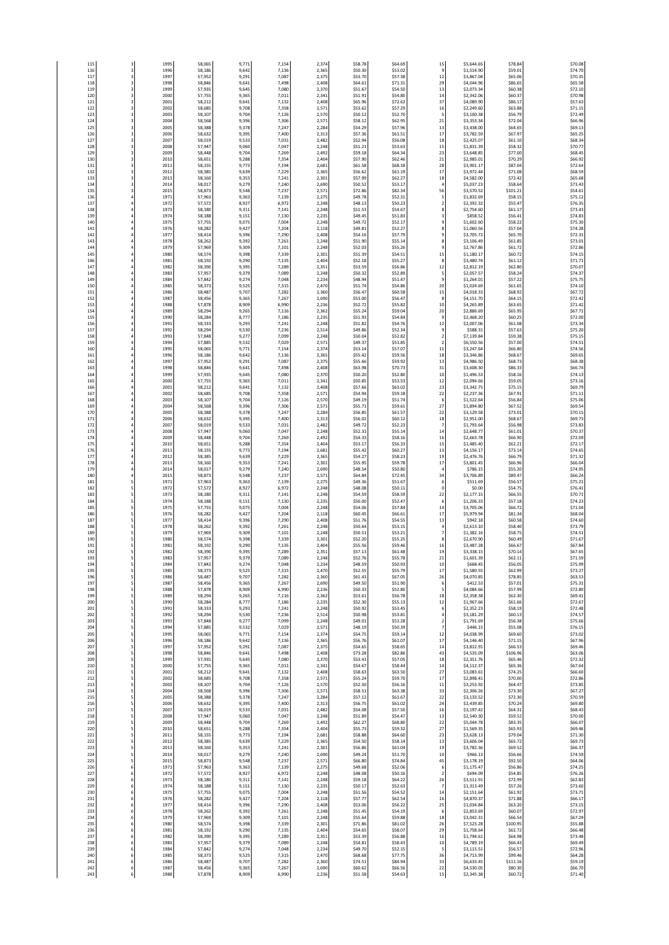| 115        | 3      | 1995         | 58,065           | 9,771          | 7,154          | 2,374          | \$58.78            | \$64.69            | 15                                        | \$5,644.65               | \$78.84             | \$70.08            |
|------------|--------|--------------|------------------|----------------|----------------|----------------|--------------------|--------------------|-------------------------------------------|--------------------------|---------------------|--------------------|
| 116        | 3      | 1996         | 58,186           | 9,642          | 7,136          | 2,365          | \$50.30            | \$53.02            | 9                                         | \$1,514.90               | \$59.01             | \$74.70            |
| 117        | 3      | 1997         | 57,952           | 9,291          | 7,087          | 2,375          | \$53.70            | \$57.38            | 12                                        | \$3,867.04               | \$65.06             | \$70.35            |
| 118        | 3      | 1998         | 58,846           | 9,641          | 7,498          | 2,408          | \$64.61            | \$71.31            | 29                                        | \$4,044.96               | \$86.65             | \$65.58            |
| 119        | 3      | 1999         | 57,935           | 9,645          | 7,080          | 2,370          | \$51.67            | \$54.50            | 13                                        | \$2,073.34               | \$60.38             | \$72.10            |
| 120        | 3      | 2000         | 57,755           | 9,365          | 7,011          | 2,341          | \$51.91            | \$54.80            | 14                                        | \$2,342.06               | \$60.37             | \$70.98            |
| 121        | 3      | 2001         | 58,212           | 9,641          | 7,132          | 2,408          | \$65.96            | \$72.62            | 37                                        | \$4,089.90               | \$86.17             | \$57.63            |
| 122        | 3      | 2002         | 58.685           | 9.708          | 7,358          | 2,571          | \$53.62            | \$57.29            | 16                                        | \$2,249.60               | \$63.88             | \$71.15            |
| 123        | 3      | 2003         | 58,107           | 9,704          | 7,126          | 2,570          | \$50.12            | \$52.70            | 5                                         | \$3,100.38               | \$56.79             | \$72.49            |
| 124        | 3      | 2004         | 58,568           | 9,396          | 7,306          | 2,571          | \$58.12            | \$62.95            | $\bf{21}$                                 | \$3,353.34               | \$72.04             | \$66.96            |
| 125        | 3      | 2005         | 58,388           | 9,378          | 7,24           | 2,284          | \$54.29            | \$57.96            | 13                                        | \$3,438.00               | \$64.65             | \$69.13            |
| 126        | 3      | 2006         | 58,632           | 9.395          | 7,400          | 2,313          | \$57.36            | \$61.53            | 17                                        | \$3,782.59               | \$67.97             | \$65.25            |
| 127        | 3      | 200          | 58,019           | 9,533          | 7,03           | 2,482          | \$52.94            | \$56.08            | 18                                        | \$2,425.07               | \$61.10             | \$68.34            |
| 128        | 3      | 2008         | 57,947           | 9,060          | 7,04           | 2,248          | \$51.21            | \$53.63            | 15                                        | \$1,831.39               | \$58.32             | \$70.7             |
| 129        | 3      | 2009         | 58,448           | 9,704          | 7,269          | 2,492          | \$59.18            | \$64.34            | 23                                        | \$3,648.85               | \$77.00             | \$68.45            |
| 130        | 3      | 2010         | 58,651           | 9,288          | 7,354          | 2,404          | \$57.90            | \$62.46            | 21                                        | \$2,985.01               | \$70.29             | \$66.92            |
| 131        | 3      | 2011         | 58,155           | 9,773          | 7,194          | 2,681          | \$61.58            | \$68.18            | 28                                        | \$3,901.17               | \$87.04             | \$72.64            |
| 132        | 3      | 2012         | 58,385           | 9,639          | 7,229          | 2,365          | \$56.62            | \$61.19            | 17                                        | \$3,972.44               | \$71.08             | \$68.59            |
| 133        | 3      | 2013         | 58,160           | 9,353          | 7,241          | 2,301          | \$57.99            | \$62.27            | 18                                        | \$4,582.00               | \$72.42             | \$65.68            |
| 134        | 3      | 2014         | 58,017           | 9,279          | 7,240          | 2,690          | \$50.52            | \$53.17            | $\overline{4}$                            | \$5,037.23               | \$58.64             | \$73.43            |
| 135        | 3<br>4 | 2015         | 58,873           | 9,548          | 7,237          | 2,571          | \$72.86<br>\$49.78 | \$82.34            | 56                                        | \$3,570.52               | \$101.21            | \$54.61            |
| 136<br>137 |        | 1971<br>197  | 57,963<br>57,572 | 9,363<br>8,927 | 7,139<br>6,97  | 2,275<br>2,248 | \$48.13            | \$52.31<br>\$50.23 | 5<br>$\mathbf 2$                          | \$1,832.69<br>\$2,392.32 | \$58.15<br>\$55.47  | \$75.12<br>\$76.35 |
| 138        | 4      | 1973         | 58,180           | 9,311          | 7,141          | 2,248          | \$51.53            | \$54.67            | 8                                         | \$2,754.60               | \$61.17             | \$73.43            |
| 139        |        | 1974         | 58.188           | 9.151          | 7,130          | 2.235          | \$49.45            | \$51.83            | $\overline{\mathbf{3}}$                   | \$858.52                 | \$56.41             | \$74.83            |
| 140        |        | 1975         | 57,755           | 9,075          | 7,004          | 2,248          | \$49.72            | \$52.17            | 9                                         | \$1,602.60               | \$58.22             | \$75.30            |
| 141        |        | 1976         | 58,282           | 9,427          | 7,204          | 2,118          | \$49.81            | \$52.27            | 8                                         | \$1,060.56               | \$57.04             | \$74.28            |
| 142        | 4      | 197          | 58,414           | 9,396          | 7,290          | 2,408          | \$54.16            | \$57.79            | 9                                         | \$3,705.72               | \$65.70             | \$72.31            |
| 143        |        | 1978         | 58.262           | 9.392          | 7,261          | 2,248          | \$51.90            | \$55.14            | 8                                         | \$3,106.49               | \$61.85             | \$73.01            |
| 144        |        | 1979         | 57,969           | 9,309          | 7,10           | 2,248          | \$52.03            | \$55.26            | 9                                         | \$2,767.86               | \$61.72             | \$72.86            |
| 145        |        | 1980         | 58,574           | 9,398          | 7,335          | 2,301          | \$51.39            | \$54.51            | 15                                        | \$1,180.17               | \$60.72             | \$74.15            |
| 146        |        | 1981         | 58,192           | 9,290          | 7,135          | 2,404          | \$52.18            | \$55.27            | 8                                         | \$3,480.74               | \$61.12             | \$71.71            |
| 147        |        | 1982         | 58,390           | 9,395          | 7,289          | 2.351          | \$53.59            | \$56.86            | 12                                        | \$2,812.19               | \$62.80             | \$70.07            |
| 148        |        | 1983         | 57,957           | 9,379          | 7,089          | 2,248          | \$50.32            | \$52.89            | 5                                         | \$2,057.57               | \$58.24             | \$74.37            |
| 149        |        | 1984         | 57,842           | 9,274          | 7,048          | 2,234          | \$48.94            | \$51.47            | 9                                         | \$1,264.01               | \$57.22             | \$75.75            |
| 150        | 4      | 1985         | 58,373           | 9,525          | 7,315          | 2,470          | \$51.74            | \$54.86            | 20                                        | \$1,024.69               | \$61.65             | \$74.10            |
| 151        | 4      | 1986         | 58.487           | 9,707          | 7,282          | 2,360          | \$56.47            | \$60.58            | 15                                        | \$4,018.33               | \$68.92             | \$67.72            |
| 152        |        | 198          | 58,456           | 9,365          | 7,26           | 2,690          | \$53.00            | \$56.47            | 8                                         | \$4,151.70               | \$64.15             | \$72.41            |
| 153        |        | 1988         | 57,878           | 8,909          | 6,990          | 2,236          | \$52.72            | \$55.82            | 10                                        | \$4,265.89               | \$63.65             | \$71.42            |
| 154        | 4      | 1989         | 58,294           | 9,265          | 7,116          | 2,362          | \$55.24            | \$59.04            | 20                                        | \$2,886.69               | \$65.95             | \$67.71            |
| 155        |        | 1990         | 58.284           | 8,777          | 7,186          | 2,235          | \$51.93            | \$54.84            | $\overline{9}$                            | \$2,468.20               | \$60.25             | \$72.00            |
| 156        |        | 1991         | 58,333           | 9,293          | 7,241          | 2,248          | \$51.82            | \$54.76            | $12\,$                                    | \$2,007.06               | \$61.08             | \$73.34            |
| 157        |        | 1992         | 58,294           | 9,530          | 7,236          | 2,514          | \$49.86            | \$52.34            | 9                                         | \$588.31                 | \$57.63             | \$75.20            |
| 158<br>159 | 4      | 1993<br>1994 | 57,848           | 9,277<br>9,532 | 7,099<br>7,029 | 2,248<br>2,571 | \$50.04<br>\$49.37 | \$52.82<br>\$51.85 | $\overline{\mathbf{c}}$<br>$\overline{2}$ | \$7,139.84<br>\$6,550.56 | \$59.38<br>\$57.00  | \$75.15<br>\$74.51 |
| 160        |        | 1995         | 57,885<br>58.065 | 9.771          | 7.154          | 2,374          | \$53.14            | \$57.07            | $11\,$<br>18                              | \$3,247.64               | \$66.80             | \$74.56            |
| 161<br>162 |        | 1996<br>1997 | 58,186<br>57,952 | 9,642<br>9,291 | 7,13<br>7,08   | 2,365<br>2,375 | \$55.42<br>\$55.66 | \$59.56<br>\$59.92 | 13                                        | \$3,346.86<br>\$4,986.50 | \$68.67<br>\$68.73  | \$69.65<br>\$68.38 |
| 163        |        | 1998         | 58,846           | 9,641          | 7,498          | 2,408          | \$63.98            | \$70.73            | 31                                        | \$3,608.30               | \$86.33             | \$66.74            |
| 164        |        | 1999         | 57,935           | 9,645          | 7,080          | 2,370          | \$50.20            | \$52.80            | 10                                        | \$1,496.53               | \$58.16             | \$74.13            |
| 165        |        | 2000         | 57,755           | 9,365          | 7,011          | 2,341          | \$50.85            | \$53.53            | $12\,$                                    | \$2,094.66               | \$59.05             | \$73.16            |
| 166        |        | 2001         | 58,212           | 9,641          | 7,132          | 2,408          | \$57.66            | \$63.02            | 23                                        | \$3,342.75               | \$75.15             | \$69.79            |
| 167        | 4      | 2002         | 58,685           | 9,708          | 7,358          | 2,571          | \$54.94            | \$59.18            | 22                                        | \$2,237.36               | \$67.91             | \$71.11            |
| 168        | 4      | 2003         | 58.107           | 9,704          | 7,126          | 2,570          | \$49.19            | \$51.74            | 6                                         | \$1,522.64               | \$56.84             | \$75.06            |
| 169        |        | 2004         | 58,568           | 9,396          | 7,306          | 2,571          | \$55.71            | \$59.61            | 27                                        | \$1,894.80               | \$67.52             | \$69.54            |
| 170        |        | 2005         | 58,388           | 9,378          | 7,24           | 2,284          | \$56.85            | \$61.57            | 22                                        | \$3,129.58               | \$73.01             | \$70.15            |
| 171        | 4      | 2006         | 58,632           | 9,395          | 7,400          | 2,313          | \$56.02            | \$60.12            | 18                                        | \$2,951.00               | \$68.67             | \$69.73            |
| 172        |        | 2007         | 58.019           | 9,533          | 7,031          | 2,482          | \$49.72            | \$52.23            | $\overline{7}$                            | \$1,793.64               | \$56.98             | \$73.83            |
| 173        |        | 2008         | 57,947           | 9,060          | 7,047          | 2,248          | \$52.31            | \$55.14            | 14                                        | \$2,648.77               | \$61.01             | \$70.37            |
| 174        |        | 2009         | 58,448           | 9,704          | 7,269          | 2,492          | \$54.33            | \$58.16            | 16                                        | \$2,663.78               | \$66.90             | \$72.09            |
| 175        | 4      | 2010         | 58,651           | 9,288          | 7,354          | 2,404          | \$53.17            | \$56.33            | 15                                        | \$1,485.40               | \$62.21             | \$72.17            |
| 176        |        | 2011         | 58.155           | 9,773          | 7,194          | 2,681          | \$55.42            | \$60.27            | 13                                        | \$4,156.17               | \$73.14             | \$74.65            |
| 177        |        | 2012         | 58.385           | 9.639          | 7.229          | 2,365          | \$54.27            | \$58.23            | 19                                        | \$2,476.76               | \$66.79             | \$71.32            |
| 178        |        | 2013         | 58,160           | 9,353          | 7,24           | 2,301          | \$55.95            | \$59.78            | 17                                        | \$3,801.45               | \$66.96             | \$66.0             |
| 179        |        | 2014         | 58,017           | 9,279          | 7,240          | 2,690          | \$48.54            | \$50.80            | $\overline{a}$                            | \$786.15                 | \$55.20             | \$74.95            |
| 180        |        | 2015         | 58,873           | 9,548          | 7,237          | 2,571          | \$64.84            | \$72.45            | 34                                        | \$3,706.89               | \$89.47             | \$66.24            |
| 181        | 5      | 1971         | 57,963           | 9,363          | 7,139          | 2,275          | \$49.36            | \$51.67            | 6                                         | \$511.69                 | \$56.57             | \$75.21            |
| 182        | 5      | 1972         | 57,572           | 8,927          | 6,972          | 2,248          | \$48.08            | \$50.11            | $\mathbf 0$                               | \$0.00                   | \$54.75             | \$76.41            |
| 183        | 5<br>5 | 1973<br>1974 | 58,180           | 9,311          | 7,141          | 2,248<br>2,235 | \$54.59<br>\$50.00 | \$58.59            | 22                                        | \$2,177.15               | \$66.55             | \$70.71<br>\$74.23 |
| 184<br>185 | 5      | 1975         | 58,188<br>57.755 | 9,151<br>9,075 | 7,130<br>7,004 | 2,248          | \$54.06            | \$52.47<br>\$57.84 | 6<br>14                                   | \$1,206.33<br>\$3,705.06 | \$57.18<br>\$66.72  | \$71.04            |
| 186        | 5      | 1976         | 58,282           | 9,427          | 7,204          | 2,118          | \$60.45            | \$66.61            | 17                                        | \$5,979.94               | \$81.34             | \$68.04            |
| 187        | 5      | 1977         | 58,414           | 9,396          | 7,290          | 2,408          | \$51.76            | \$54.55            | 13                                        | \$942.18                 | \$60.58             | \$74.60            |
| 188        | 5      | 1978         | 58,262           | 9,392          | 7,261          | 2,248          | \$50.64            | \$53.15            | 4                                         | \$2,613.10               | \$58.40             | \$73.79            |
| 189        |        | 1979         | 57.969           | 9.309          | 7,101          | 2,248          | \$50.51            | \$53.23            | $\overline{7}$                            | \$1,382.16               | \$58.75             | \$74.51            |
| 190        |        | 1980         | 58,574           | 9,398          | 7,339          | 2,301          | \$52.20            | \$55.25            | 8                                         | \$2,670.90               | \$60.49             | \$71.67            |
| 191        |        | 1981         | 58,192           | 9,290          | 7,135          | 2,404          | \$55.56            | \$59.46            | 16                                        | \$3,487.28               | \$66.67             | \$67.84            |
| 192        | 5      | 1982         | 58,390           | 9,395          | 7,289          | 2,351          | \$57.13            | \$61.48            | 19                                        | \$3,338.15               | \$70.14             | \$67.65            |
| 193        | 5      | 1983         | 57,957           | 9,379          | 7,089          | 2.248          | \$52.76            | \$55.78            | 21                                        | \$1,601.39               | \$62.11             | \$71.59            |
| 195        |        | 198<br>1985  | 57,84<br>58,373  | 9,274<br>9,525 | 7,04<br>7,31!  | 2.234<br>2,470 | 548.55<br>\$52.55  | 550.9.<br>\$55.79  | 10<br>17                                  | 2008.4<br>\$1,580.55     | 556.U.<br>\$62.99   | >75.99<br>\$73.27  |
| 196        | 5      | 1986         | 58,487           | 9,707          | 7,28           | 2,360          | \$61.43            | \$67.05            | 26                                        | \$4,070.85               | \$78.85             | \$63.53            |
| 197        | 5      | 1987         | 58,456           | 9,365          | 7,267          | 2,690          | \$49.50            | \$51.90            | 6                                         | \$412.53                 | \$57.01             | \$75.31            |
| 198        | 5      | 1988         | 57,878           | 8.909          | 6,990          | 2.236          | \$50.33            | \$52.80            | 5                                         | \$4,084.66               | \$57.99             | \$72.80            |
| 199        | 5      | 1989         | 58,294           | 9,265          | 7,116          | 2,362          | \$53.61            | \$56.78            | 18                                        | \$2,358.38               | \$62.30             | \$69.41            |
| 200        | 5      | 1990         | 58,284           | 8,777          | 7,186          | 2,235          | \$52.30            | \$55.13            | 12                                        | \$1,967.66               | \$61.66             | \$72.67            |
| 201        | 5      | 1991         | 58,333           | 9,293          | 7,241          | 2,248          | \$50.92            | \$53.45            | 6                                         | \$2,352.23               | \$58.19             | \$72.48            |
| 202        | 5      | 1992         | 58.294           | 9,530          | 7,236          | 2,514          | \$50.98            | \$53.81            | $\it 4$                                   | \$3,181.29               | \$60.13             | \$74.57            |
| 203        | 5      | 1993         | 57,848           | 9,277          | 7,099          | 2,248          | \$49.01            | \$51.28            | $\mathbf 2$                               | \$1,791.69               | \$56.38             | \$75.66            |
| 204        | 5      | 1994         | 57,885           | 9,532          | 7,029          | 2,571          | \$48.19            | \$50.39            | $\overline{\phantom{a}}$                  | \$446.15                 | \$55.08             | \$76.15            |
| 205        | 5      | 1999         | 58,065           | 9,771          | 7,154          | 2,374          | \$54.75            | \$59.14            | $12\,$                                    | \$4,038.99               | \$69.60             | \$73.02            |
| 206        | 5      | 1996         | 58,186           | 9,642          | 7,136          | 2.365          | \$56.76            | \$61.07            | 17                                        | \$4,146.40               | \$71.15             | \$67.96            |
| 207        | 5      | 1997         | 57,952           | 9,291          | 7,087          | 2,375          | \$54.65            | \$58.65            | 14                                        | \$3,812.91               | \$66.53             | \$69.46            |
| 208<br>209 | 5<br>5 | 1998<br>1999 | 58,846           | 9,641          | 7,498<br>7,080 | 2,408<br>2,370 | \$73.28<br>\$53.41 | \$82.86<br>\$57.05 | 43<br>18                                  | \$4,535.09               | \$106.96<br>\$65.46 | \$63.06<br>\$72.32 |
| 210        | 5      | 2000<br>2001 | 57,935<br>57,755 | 9,645<br>9.365 | 7,011          | 2,341          | \$54.67            | \$58.44            | 14                                        | \$2,351.76<br>\$4,112.37 | \$65.36             | \$67.64            |
| 211        | 5      | 2002         | 58,212           | 9,641          | 7,137          | 2,408          | \$58.63            | \$63.50            | 27                                        | \$3,083.61               | \$74.25             | \$66.60            |
| 212        | 5      |              | 58,685           | 9,708          | 7,358          | 2,571          | \$55.24            | \$59.70            | 17                                        | \$2,898.41               | \$70.00             | \$72.86            |
| 213        | 5      | 2003         | 58,107           | 9,704          | 7,126          | 2,570          | \$52.50            | \$56.16            | $11\,$                                    | \$3,253.92               | \$64.47             | \$73.85            |
| 214        | 5      | 2004         | 58,568           | 9,396          | 7,306          | 2,571          | \$58.51            | \$63.38            | 33                                        | \$2,306.26               | \$73.30             | \$67.27            |
| 215        | 5      | 2005         | 58,388           | 9,378          | 7,247          | 2,284          | \$57.12            | \$61.67            | 22                                        | \$3,133.52               | \$72.30             | \$70.59            |
| 216        | 5      | 2006         | 58,632           | 9,395          | 7,400          | 2,313          | \$56.75            | \$61.02            | 24                                        | \$2,439.85               | \$70.24             | \$69.80            |
| 217        | 5      | 2007         | 58,019           | 9,533          | 7,031          | 2,482          | \$54.08            | \$57.50            | 16                                        | \$3,197.42               | \$64.31             | \$68.43            |
| 218        | 5      | 2008         | 57,947           | 9,060          | 7,047          | 2,248          | \$51.89            | \$54.47            | 13                                        | \$2,540.30               | \$59.52             | \$70.00            |
| 219        | 5      | 2009         | 58.448           | 9,704          | 7,269          | 2,492          | \$62.27            | \$68.80            | 22                                        | \$5,044.78               | \$83.35             | \$66.07            |
| 220        | 5      | 2010         | 58,651           | 9,288          | 7,354          | 2,404          | \$55.73            | \$59.32            | 27                                        | \$1,569.35               | \$65.93             | \$69.46            |
| 221        | 5      | 2011         | 58,155           | 9,773          | 7,194          | 2,681          | \$58.88            | \$64.60            | 23                                        | \$3,628.13               | \$79.04             | \$71.30            |
| 222        | 5      | 2012         | 58,385           | 9,639          | 7,229          | 2,365          | \$54.50            | \$58.14            | 13                                        | \$3,606.04               | \$65.72             | \$69.73            |
| 223        | 5      | 2013         | 58,160           | 9.353          | 7,241          | 2.301          | \$56.86            | \$61.04            | 19                                        | \$3,782.36               | \$69.52             | \$66.37            |
| 224        | 5      | 2014         | 58,017           | 9,279          | 7,240          | 2,690          | \$49.24            | \$51.70            | 10                                        | \$966.13                 | \$56.66             | \$74.59            |
| 225        | 5      | 2015         | 58,873           | 9,548          | 7,23           | 2,571          | \$66.80            | \$74.84            | 45                                        | \$3,178.19               | \$92.50             | \$64.06            |
| 226        | 6      | 1971         | 57,963           | 9,363          | 7,139          | 2,275          | \$49.68            | \$52.06            | 6                                         | \$1,175.47               | \$56.86             | \$74.25            |
| 227        | 6      | 1972         | 57,572           | 8,927          | 6.972          | 2,248          | \$48.08            | \$50.16            | $\overline{2}$                            | \$694.09                 | \$54.85             | \$76.26            |
| 228        | 6      | 1973         | 58,180           | 9,311          | 7,141          | 2,248          | \$59.18            | \$64.22            | 26                                        | \$3,511.91               | \$72.99             | \$62.83            |
| 229        | 6      | 1974         | 58,188           | 9,151          | 7,130          | 2,235          | \$50.17            | \$52.63            | $\overline{\phantom{a}}$                  | \$1,313.49               | \$57.26             | \$73.60            |
| 230        | 6      | 1975         | 57,755           | 9,075          | 7,004          | 2,248          | \$51.56            | \$54.52            | 14                                        | \$2,151.64               | \$61.92             | \$73.71            |
| 231        | 6      | 1976         | 58,282           | 9,427          | 7,204          | 2.118          | \$57.77            | \$62.54            | 16                                        | \$4,870.37               | \$71.88             | \$66.17            |
| 232        | 6      | 1977         | 58,414           | 9,396          | 7,290          | 2,408          | \$53.06            | \$56.22            | 25                                        | \$1,034.84               | \$63.20             | \$73.15            |
| 233        | 6      | 1978         | 58,262           | 9,392          | 7,261          | 2,248          | \$51.45            | \$54.19            | 6                                         | \$2,853.69               | \$60.07             | \$72.97            |
| 234        | 6      | 1979         | 57,969           | 9,309          | 7,101          | 2,248          | \$55.64            | \$59.88            | 18                                        | \$3,042.31               | \$66.54             | \$67.29            |
| 235        | 6      | 1980         | 58.574           | 9,398          | 7,339          | 2,301          | \$71.86            | \$81.02            | 26                                        | \$7,523.28               | \$100.95            | \$55.88            |
| 236        | 6      | 1981         | 58,192           | 9,290          | 7,135          | 2,404          | \$54.65            | \$58.07            | 29                                        | \$1,758.64               | \$62.72             | \$66.48            |
| 237        | 6      | 1982         | 58,390           | 9,395          | 7,289          | 2,351          | \$53.39            | \$56.88            | 16                                        | \$1,794.61               | \$64.98             | \$73.48            |
| 238        | 6      | 1983         | 57,957           | 9,379          | 7,089          | 2,248          | \$54.81            | \$58.43            | 10                                        | \$4,789.19               | \$66.43             | \$69.49            |
| 239        | 6      | 1984         | 57,842           | 9,274          | 7,048          | 2,234          | \$49.70            | \$52.15            | 5                                         | \$3,115.51               | \$56.57             | \$72.96            |
| 240        | 6      | 1985         | 58,373           | 9,525          | 7,315          | 2,470          | \$68.68            | \$77.75            | 36                                        | \$4,713.99               | \$99.46             | \$64.28            |
| 241        | 6      | 1986         | 58,487           | 9,707          | 7,282          | 2,360          | \$74.51            | \$84.94            | 33                                        | \$6,633.45               | \$111.16            | \$59.19            |
| 242        | 6      | 1987         | 58,456           | 9,365          | 7,267          | 2,690          | \$60.62            | \$66.56            | 22                                        | \$4,530.05               | \$80.30             | \$66.70            |
| 243        | 6      | 1988         | 57,878           | 8,909          | 6,990          | 2,236          | \$51.58            | \$54.63            | 15                                        | \$2,345.38               | \$60.72             | \$71.40            |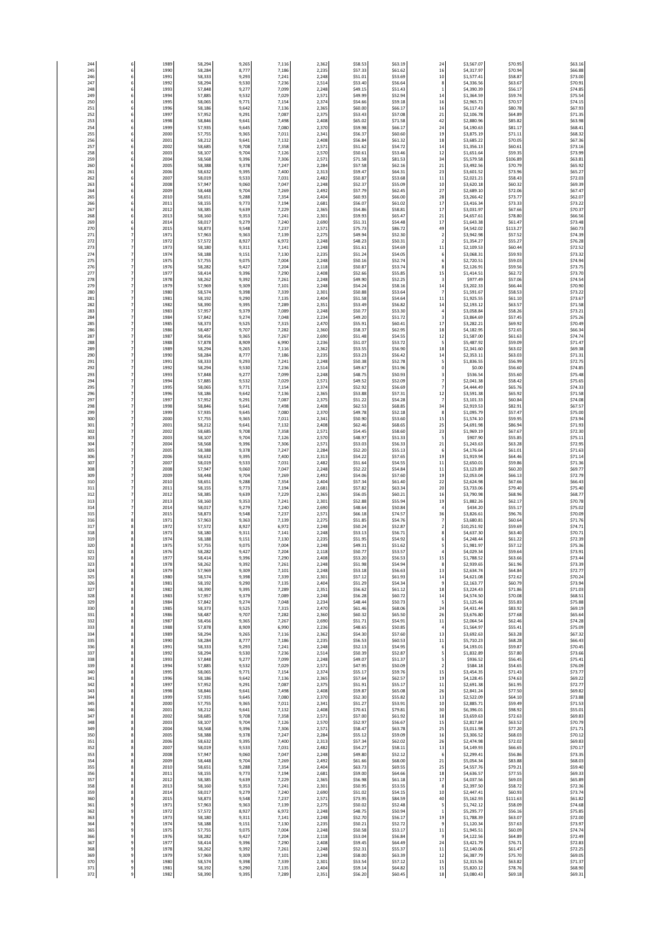| 244               | 6                        | 1989                 | 58.294           | 9,265          | 7,116          | 2,362                   | \$58.53                       | \$63.19                       | 24                             | \$3,567.07               | \$70.95                       | \$63.16                       |
|-------------------|--------------------------|----------------------|------------------|----------------|----------------|-------------------------|-------------------------------|-------------------------------|--------------------------------|--------------------------|-------------------------------|-------------------------------|
| 245               | 6                        | 1990                 | 58,284           | 8,777          | 7,186          | 2,235                   | \$57.33                       | \$61.62                       | 16                             | \$4,317.97               | \$70.94                       | \$66.88                       |
| 246               | 6                        | 1991                 | 58,333           | 9,293          | 7,241          | 2,248                   | \$51.01                       | \$53.69                       | 10                             | \$1,577.41               | \$58.87                       | \$73.00                       |
| 247               | 6                        | 1992                 | 58,294           | 9,530          | 7,236          | 2,514                   | \$53.40                       | \$56.64                       | 8                              | \$4,336.56               | \$63.67                       | \$70.91                       |
| 248               | 6                        | 1993                 | 57,848           | 9,277          | 7,099          | 2,248                   | \$49.15                       | \$51.43                       | $\mathbf{1}$                   | \$4,390.39               | \$56.17                       | \$74.85                       |
| 249               | 6                        | 1994                 | 57,885           | 9,532          | 7,029          | 2,571                   | \$49.99                       | \$52.94                       | 14                             | \$1,364.59               | \$59.74                       | \$75.54                       |
| 250               | 6                        | 1999                 | 58,065           | 9,771          | 7,154          | 2,374                   | \$54.66                       | \$59.18                       | 16                             | \$2,965.71               | \$70.57                       | \$74.15                       |
| 251<br>252        | 6                        | 1996<br>1997         | 58,186           | 9,642          | 7,13<br>7,087  | 2,365<br>2,375          | \$60.00<br>\$53.43            | \$66.17                       | 16<br>21                       | \$6,117.43               | \$80.78                       | \$67.93<br>\$71.35            |
| 253               | 6<br>6                   | 1998                 | 57,952<br>58,846 | 9,291<br>9,641 | 7,498          | 2,408                   | \$65.02                       | \$57.08<br>\$71.58            | 42                             | \$2,106.78<br>\$2,880.96 | \$64.89<br>\$85.82            | \$63.98                       |
| 254<br>255<br>256 | 6                        | 1999<br>2000<br>200  | 57,935<br>57,755 | 9,645<br>9,365 | 7,080<br>7,011 | 2,370<br>2,341<br>2,408 | \$59.98<br>\$56.37<br>\$56.84 | \$66.17<br>\$60.60<br>\$61.32 | 24<br>19<br>18                 | \$4,190.63<br>\$3,875.19 | \$81.17<br>\$71.11<br>\$70.05 | \$68.41<br>\$68.32<br>\$67.36 |
| 257               | 6<br>6                   | 200                  | 58,212<br>58,685 | 9,641<br>9,708 | 7,132<br>7,358 | 2,571                   | \$51.62                       | \$54.72                       | 14                             | \$3,685.22<br>\$1,356.13 | \$60.61                       | \$73.16                       |
| 258               | 6                        | 2003                 | 58,107           | 9,704          | 7,126          | 2,570                   | \$50.61                       | \$53.46                       | 12                             | \$1,651.64               | \$59.35                       | \$73.99                       |
| 259               |                          | 2004                 | 58,568           | 9,396          | 7,306          | 2,571                   | \$71.58                       | \$81.53                       | 34                             | \$5,579.58               | \$106.89                      | \$63.81                       |
| 260               | 6                        | 2005                 | 58,388           | 9,378          | 7,247          | 2,284                   | \$57.58                       | \$62.16                       | 21                             | \$3,492.56               | \$70.79                       | \$65.92                       |
| 261               |                          | 2006                 | 58,632           | 9,395          | 7,400          | 2,313                   | \$59.47                       | \$64.31                       | 23                             | \$3,601.52               | \$73.96                       | \$65.27                       |
| 262               | 6                        | 2007                 | 58,019           | 9,533          | 7,031          | 2,482                   | \$50.87                       | \$53.68                       | $11$                           | \$2,021.21               | \$58.43                       | \$72.03                       |
| 263               | 6                        | 2008                 | 57,947           | 9,060          | 7,047          | 2,248                   | \$52.37                       | \$55.09                       | 10                             | \$3,620.18               | \$60.32                       | \$69.39                       |
| 264               | 6                        | 2009                 | 58,448           | 9,704          | 7,269          | 2,492                   | \$57.79                       | \$62.45                       | 27                             | \$2,689.10               | \$72.06                       | \$67.47                       |
| 265               | 6                        | 2010                 | 58.651           | 9,288          | 7,354          | 2,404                   | \$60.93                       | \$66.00                       | 28                             | \$3,266.42               | \$73.77                       | \$62.07                       |
| 266               | 6                        | 2011                 | 58,155           | 9,773          | 7,194          | 2,681                   | \$56.07                       | \$61.02                       | 17                             | \$3,416.34               | \$73.33                       | \$73.22                       |
| 267               | 6                        | 2012                 | 58,385           | 9,639          | 7,229          | 2,365                   | \$54.86                       | \$58.81                       | 17                             | \$3,031.97               | \$67.66                       | \$70.37                       |
| 268               | 6                        | 2013                 | 58,160           | 9,353          | 7,241          | 2,301                   | \$59.93                       | \$65.47                       | 21                             | \$4,657.61               | \$78.80                       | \$66.56                       |
| 269               | 6                        | 2014                 | 58,017           | 9,279          | 7,240          | 2,690                   | \$51.31                       | \$54.48                       | 17                             | \$1,643.38               | \$61.47                       | \$73.48                       |
| 270               | 6                        | 2015                 | 58,873           | 9,548          | 7,23           | 2,571                   | \$75.73                       | \$86.72                       | 49                             | \$4,542.02               | \$113.27                      | \$60.73                       |
| 271               | 7                        | 1971                 | 57,963           | 9,363          | 7,139          | 2,275                   | \$49.94                       | \$52.30                       | $\mathbf 2$                    | \$3,942.98               | \$57.52                       | \$74.39                       |
| 272               | 7                        | 1972                 | 57,572           | 8,927          | 6,97           | 2,248                   | \$48.23                       | \$50.31                       | $\overline{2}$                 | \$1,354.27               | \$55.27                       | \$76.28                       |
| 273               | 7                        | 197                  | 58.180           | 9,311          | 7,141          | 2,248                   | \$51.61                       | \$54.69                       | $11\,$                         | \$2,109.53               | \$60.44                       | \$72.52                       |
| 274               | 7                        | 1974                 | 58,188           | 9,151          | 7,130          | 2,235                   | \$51.24                       | \$54.05                       | 6                              | \$3,068.31               | \$59.93                       | \$73.32                       |
| 275               | 7                        | 1975                 | 57,755           | 9,075          | 7,004          | 2,248                   | \$50.16                       | \$52.74                       | 6                              | \$2,720.51               | \$59.03                       | \$74.94                       |
| 276               | 7                        | 1976                 | 58,282           | 9,427          | 7,204          | 2,118                   | \$50.87                       | \$53.74                       | 8                              | \$2,126.91               | \$59.56                       | \$73.75                       |
| 277               | $\overline{7}$           | 1977                 | 58,414           | 9,396          | 7,290          | 2,408                   | \$52.66                       | \$55.85                       | 15                             | \$1,414.51               | \$62.72                       | \$73.70                       |
| 278               | 7                        | 1978                 | 58,262           | 9,392          | 7,261          | 2,248                   | \$49.90                       | \$52.25                       | 3                              | \$977.49                 | \$57.06                       | \$74.54                       |
| 279               | 7                        | 1979                 | 57,969           | 9,309          | 7,101          | 2,248                   | \$54.24                       | \$58.16                       | 14                             | \$3,202.33               | \$66.44                       | \$70.90                       |
| 280               | 7                        | 1980                 | 58,574           | 9,398          | 7,339          | 2,301                   | \$50.88                       | \$53.64                       | $\overline{7}$                 | \$1,591.67               | \$58.53                       | \$73.22                       |
| 281               | $\overline{7}$           | 1981                 | 58.192           | 9,290          | 7,135          | 2,404                   | \$51.58                       | \$54.64                       | $11\,$                         | \$1,925.55               | \$61.10                       | \$73.67                       |
| 282               | 7                        | 1982                 | 58,390           | 9,395          | 7,289          | 2,351                   | \$53.49                       | \$56.82                       | 14                             | \$2,193.12               | \$63.57                       | \$71.58                       |
| 283               |                          | 1983                 | 57,957           | 9,379          | 7,089          | 2,248                   | \$50.77                       | \$53.30                       | 4                              | \$3,058.84               | \$58.26                       | \$73.2                        |
| 284               | 7                        | 1984                 | 57,842           | 9,274          | 7,048          | 2,234                   | \$49.20                       | \$51.72                       | 3                              | \$3,864.69               | \$57.45                       | \$75.26                       |
| 285               | 7                        | 1985                 | 58,373           | 9,525          | 7,315          | 2,470                   | \$55.91                       | \$60.43                       | 17                             | \$3,282.21               | \$69.92                       | \$70.49                       |
| 286               | 7                        | 1986                 | 58.487           | 9,707          | 7,282          | 2,360                   | \$58.37                       | \$62.95                       | 18                             | \$4,182.95               | \$72.65                       | \$66.34                       |
| 287               | 7                        | 1987                 | 58,456           | 9,365          | 7,26           | 2,690                   | \$51.48                       | \$54.55                       | $12\,$                         | \$1,587.00               | \$61.63                       | \$74.74                       |
| 288               | 7                        | 1988                 | 57,878           | 8,909          | 6,990          | 2,236                   | \$51.07                       | \$53.72                       | 5                              | \$5,487.92               | \$59.09                       | \$71.47                       |
| 289               | 7                        | 1989                 | 58,294           | 9,265          | 7,116          | 2,362                   | \$53.55                       | \$56.90                       | 18                             | \$2,341.60               | \$63.02                       | \$69.38                       |
| 290               | 7                        | 1990                 | 58.284           | 8.777          | 7,186          | 2,235                   | \$53.23                       | \$56.42                       | 14                             | \$2,353.11               | \$63.03                       | \$71.31                       |
| 291               | 7                        | 1991                 | 58,333           | 9,293          | 7,24           | 2,248                   | \$50.38                       | \$52.78                       | 5                              | \$1,836.55               | \$56.99                       | \$72.75                       |
| 292               | 7                        | 1992                 | 58,294           | 9,530          | 7,23           | 2,514                   | \$49.67                       | \$51.96                       | 0                              | \$0.00                   | \$56.60                       | \$74.8                        |
| 293               | 7                        | 1993                 | 57,848           | 9,277          | 7,099          | 2,248                   | \$48.75                       | \$50.93                       | 3                              | \$536.54                 | \$55.60                       | \$75.48                       |
| 294               | $\overline{7}$           | 1994                 | 57,885           | 9,532          | 7,029          | 2,571                   | \$49.52                       | \$52.09                       | $\overline{\phantom{a}}$       | \$2,041.38               | \$58.42                       | \$75.65                       |
| 295               | 7                        | 1995                 | 58,065           | 9,771          | 7,154          | 2,374                   | \$52.92                       | \$56.69                       | $\overline{\phantom{a}}$       | \$4,444.49               | \$65.76                       | \$74.33                       |
| 296               | 7                        | 1996                 | 58,186           | 9,642          | 7,136          | 2,365                   | \$53.88                       | \$57.31                       | $12\,$                         | \$3,591.38               | \$65.92                       | \$71.58                       |
| 297               | 7                        | 1997                 | 57,952           | 9,291          | 7,087          | 2,375                   | \$51.22                       | \$54.28                       | $\overline{7}$                 | \$3,101.33               | \$60.84                       | \$74.08                       |
| 298               | $\overline{7}$           | 1998                 | 58.846           | 9,641          | 7,498          | 2,408                   | \$62.53                       | \$68.85                       | 34                             | \$2,919.53               | \$82.91                       | \$67.57                       |
| 299               | 7                        | 1999                 | 57,935           | 9,645          | 7,080          | 2,370                   | \$49.78                       | \$52.18                       | 8                              | \$1,095.79               | \$57.47                       | \$75.00                       |
| 300               | 7<br>7                   | 2000                 | 57,755           | 9,365          | 7,011          | 2,341                   | \$50.90                       | \$53.60                       | 15                             | \$1,574.10               | \$59.95                       | \$73.94                       |
| 301               | 7                        | 2001                 | 58,212           | 9,641          | 7,13           | 2,408                   | \$62.46                       | \$68.65                       | 25                             | \$4,691.98               | \$86.94                       | \$71.93                       |
| 302               |                          | 2002                 | 58,685           | 9,708          | 7,358          | 2,571                   | \$54.45                       | \$58.60                       | 23                             | \$1,969.19               | \$67.67                       | \$72.30                       |
| 303               | 7                        | 2003                 | 58,107           | 9,704          | 7,126          | 2,570                   | \$48.97                       | \$51.33                       | 5                              | \$907.90                 | \$55.85                       | \$75.11                       |
| 304               | 7                        | 2004                 | 58,568           | 9,396          | 7,306          | 2,571                   | \$53.03                       | \$56.33                       | $\bf{21}$                      | \$1,243.63               | \$63.28                       | \$72.95                       |
| 305               | 7                        | 2005                 | 58,388           | 9,378          | 7,24           | 2,284                   | \$52.20                       | \$55.13                       | 6                              | \$4,176.64               | \$61.01                       | \$71.63                       |
| 306               | 7                        | 2006                 | 58,632           | 9,395          | 7,400          | 2,313                   | \$54.22                       | \$57.65                       | 19                             | \$1,919.94               | \$64.46                       | \$71.14                       |
| 307               | 7                        | 200                  | 58,019           | 9,533          | 7,031          | 2,482                   | \$51.64                       | \$54.55                       | 11                             | \$2,650.01               | \$59.86                       | \$71.36                       |
| 308               | 7                        | 2008                 | 57,947           | 9,060          | 7,04           | 2,248                   | \$52.22                       | \$54.84                       | $11$                           | \$3,123.89               | \$60.20                       | \$69.77                       |
| 309               | 7                        | 2009                 | 58,448           | 9,704          | 7,269          | 2,492                   | \$54.06                       | \$57.60                       | 19                             | \$2,053.04               | \$66.13                       | \$72.79                       |
| 310               | 7                        | 2010                 | 58,651           | 9,288          | 7,354          | 2,404                   | \$57.34                       | \$61.40                       | 22                             | \$2,624.98               | \$67.66                       | \$66.43                       |
| 311               | $\overline{7}$           | 2011                 | 58,155           | 9,773          | 7,194          | 2,681                   | \$57.82                       | \$63.34                       | 20                             | \$3,733.06               | \$79.40                       | \$75.40                       |
| 312               | 7                        | 2012                 | 58,385           | 9,639          | 7,229          | 2,365                   | \$56.05                       | \$60.21                       | 16                             | \$3,790.98               | \$68.96                       | \$68.77                       |
| 313               | 7                        | 2013                 | 58,160           | 9,353          | 7,241          | 2,301                   | \$52.88                       | \$55.94                       | 19                             | \$1,882.26               | \$62.17                       | \$70.78                       |
| 314               | 7                        | 2014                 | 58,017           | 9,279          | 7,240          | 2,690                   | \$48.64                       | \$50.84                       | $\overline{4}$                 | \$434.20                 | \$55.17                       | \$75.02                       |
| 315               | 7                        | 2015                 | 58.873           | 9,548          | 7,23           | 2,571                   | \$66.18                       | \$74.57                       | 36                             | \$3,826.61               | \$96.76                       | \$70.09                       |
| 316               | 8                        | 1971                 | 57,963           | 9,363          | 7,139          | 2,275                   | \$51.85                       | \$54.76                       | $\overline{\phantom{a}}$       | \$3,680.81               | \$60.64                       | \$71.76                       |
| 317               | 8                        | 197                  | 57,572           | 8,927          | 6,97           | 2,248                   | \$50.24                       | \$52.87                       | $\mathbf 2$                    | \$10,251.92              | \$59.69                       | \$74.7                        |
| 318               | 8                        | 1973                 | 58,180           | 9,311          | 7,141          | 2,248                   | \$53.13                       | \$56.73                       | 8                              | \$4,637.30               | \$63.40                       | \$70.71                       |
| 319               |                          | 1974                 | 58,188           | 9,151          | 7,130          | 2.235                   | \$51.95                       | \$54.92                       | 6                              | \$4,248.44               | \$61.22                       | \$72.39                       |
| 320               |                          | 1975                 | 57,755           | 9,075          | 7,004          | 2,248                   | \$49.31                       | \$51.62                       | 5                              | \$1,981.97               | \$57.12                       | \$75.36                       |
| 321               | 8                        | 1976                 | 58,282           | 9,427          | 7,204          | 2,118                   | \$50.77                       | \$53.57                       | 4                              | \$4,029.34               | \$59.64                       | \$73.91                       |
| 322               |                          | 1977                 | 58,414           | 9,396          | 7,290          | 2,408                   | \$53.20                       | \$56.53                       | 15                             | \$1,788.52               | \$63.66                       | \$73.44                       |
| 32<br>324         | 8                        | 1978<br>1979         | 58.262<br>57,969 | 9,392<br>9,309 | 7,26<br>7,101  | 2.248<br>2,248          | 551.98<br>\$53.18             | S54.9<br>\$56.63              | 13                             | \$2.939.65<br>\$2,634.74 | S61.96<br>\$64.84             | S73.39<br>\$72.77             |
| 325               | 8                        | 1980                 | 58,574           | 9,398          | 7,335          | 2,301                   | \$57.12                       | \$61.93                       | 14                             | \$4,621.08               | \$72.62                       | \$70.24                       |
| 326               | 8                        | 1981                 | 58,192           | 9,290          | 7,13!          | 2,404                   | \$51.29                       | \$54.34                       | 9                              | \$2,163.77               | \$60.79                       | \$73.94                       |
| 327               | 8                        | 1982                 | 58,390           | 9,395          | 7,289          | 2,351                   | \$56.62                       | \$61.12                       | 18                             | \$3,224.43               | \$71.86                       | \$71.03                       |
| 328               | 8                        | 1983                 | 57,957           | 9,379          | 7,089          | 2,248                   | \$56.28                       | \$60.72                       | 14                             | \$4,574.50               | \$70.08                       | \$68.51                       |
| 329               | 8                        | 1984                 | 57,842           | 9,274          | 7,048          | 2,234                   | \$48.44                       | \$50.73                       | 5                              | \$1,125.46               | \$55.83                       | \$75.88                       |
| 330               | 8                        | 1985                 | 58,373           | 9,525          | 7,315          | 2,470                   | \$61.46                       | \$68.06                       | 24                             | \$4,431.44               | \$83.92                       | \$69.19                       |
| 331               | 8                        | 1986                 | 58,487           | 9,707          | 7,282          | 2,360                   | \$60.32                       | \$65.50                       | 26                             | \$3,676.80               | \$77.68                       | \$65.64                       |
| 332               | 8                        | 1987                 | 58.456           | 9,365          | 7,267          | 2,690                   | \$51.71                       | \$54.91                       | 11                             | \$2,064.54               | \$62.46                       | \$74.28                       |
| 333               | 8                        | 1988                 | 57,878           | 8,909          | 6,990          | 2,236                   | \$48.65                       | \$50.85                       | $\it 4$                        | \$1,564.97               | \$55.41                       | \$75.09                       |
| 334               | 8                        | 1989                 | 58,294           | 9,265          | 7,116          | 2,362                   | \$54.30                       | \$57.60                       | 13                             | \$3,692.63               | \$63.28                       | \$67.32                       |
| 335               | 8                        | 1990                 | 58,284           | 8,777          | 7,18           | 2,235                   | \$56.53                       | \$60.53                       | $11\,$                         | \$5,710.23               | \$68.28                       | \$66.43                       |
| 336               | 8                        | 1991                 | 58,333           | 9,293          | 7,241          | 2.248                   | \$52.13                       | \$54.95                       | 6                              | \$4,193.01               | \$59.87                       | \$70.45                       |
| 337               | 8                        | 1992                 | 58,294           | 9,530          | 7,236          | 2,514                   | \$50.39                       | \$52.87                       | 5                              | \$1,832.89               | \$57.80                       | \$73.66                       |
| 338               | 8                        | 1993                 | 57,848           | 9,277          | 7,099          | 2,248                   | \$49.07                       | \$51.37                       | 5                              | \$936.52                 | \$56.45                       | \$75.41                       |
| 339               | 8                        | 1994                 | 57,885           | 9,532          | 7,029          | 2,571                   | \$47.95                       | \$50.09                       | $\overline{2}$                 | \$584.18                 | \$54.65                       | \$76.09                       |
| 340               | 8                        | 199                  | 58,065           | 9,771          | 7,154          | 2.374                   | \$55.17                       | \$59.76                       | 15                             | \$3,454.35               | \$71.43                       | \$73.77                       |
| 341               | 8                        | 1996                 | 58,186           | 9,642          | 7,136          | 2,365                   | \$57.64                       | \$62.57                       | 19                             | \$4,128.45               | \$74.63                       | \$69.22                       |
| 342               | 8                        | 1997                 | 57,952           | 9,291          | 7,087          | 2,375                   | \$51.91                       | \$55.17                       | $11$                           | \$2,691.38               | \$61.95                       | \$72.77                       |
| 343               | 8                        | 1998                 | 58,846           | 9,641          | 7,498          | 2,408                   | \$59.87                       | \$65.08                       | 26                             | \$2,841.24               | \$77.50                       | \$69.82                       |
| 344               | 8                        | 1999                 | 57,935           | 9,645          | 7,080          | 2,370                   | \$52.30                       | \$55.82                       | 13                             | \$2,522.09               | \$64.10                       | \$73.88                       |
| 345               | 8                        | 2000                 | 57,755           | 9,365          | 7,011          | 2,341                   | \$51.27                       | \$53.91                       | 10                             | \$2,885.71               | \$59.49                       | \$71.53                       |
| 346               | 8                        | 2001                 | 58,212           | 9,641          | 7,132          | 2,408                   | \$70.61                       | \$79.81                       | 30                             | \$6,396.01               | \$98.92                       | \$55.01                       |
| 347               | 8                        | 2002                 | 58,685           | 9,708          | 7,358          | 2,571                   | \$57.00                       | \$61.92                       | 18                             | \$3,659.63               | \$72.63                       | \$69.83                       |
| 348               | 8                        | 2003                 | 58,107           | 9,704          | 7,126          | 2,570                   | \$52.97                       | \$56.67                       | 15                             | \$2,817.84               | \$63.52                       | \$70.79                       |
| 349               | 8                        | 2004                 | 58.568           | 9,396          | 7,306          | 2,571                   | \$58.47                       | \$63.78                       | 25                             | \$3,011.98               | \$77.20                       | \$71.71                       |
| 350               | 8                        | 2005                 | 58,388           | 9,378          | 7,24           | 2,284                   | \$55.12                       | \$59.09                       | 16                             | \$3,306.52               | \$68.03                       | \$70.12                       |
| 351               | 8                        | 2006                 | 58,632           | 9,395          | 7,400          | 2,313                   | \$57.34                       | \$62.02                       | 26                             | \$2,474.98               | \$72.02                       | \$69.83                       |
| 352               | 8                        | 2007                 | 58,019           | 9,533          | 7,03           | 2,482                   | \$54.27                       | \$58.11                       | 13                             | \$4,149.93               | \$66.65                       | \$70.17                       |
| 353               | 8                        | 2008                 | 57,947           | 9,060          | 7,047          | 2,248                   | \$49.80                       | \$52.12                       | 6                              | \$2,299.41               | \$56.86                       | \$73.35                       |
| 354               | 8                        | 2009                 | 58,448           | 9,704          | 7,269          | 2,492                   | \$61.66                       | \$68.00                       | 21                             | \$5,054.34               | \$83.88                       | \$68.03                       |
| 355               | 8                        | 2010                 | 58,651           | 9,288          | 7,354          | 2,404                   | \$63.73                       | \$69.55                       | 25                             | \$4,557.76               | \$79.21                       | \$59.40                       |
| 356               | 8                        | 2011                 | 58,155           | 9,773          | 7,194          | 2,681                   | \$59.00                       | \$64.66                       | 18                             | \$4,636.57               | \$77.55                       | \$69.33                       |
| 357               | 8                        | 2012                 | 58.385           | 9,639          | 7,229          | 2.365                   | \$56.98                       | \$61.18                       | 17                             | \$4,037.56               | \$69.03                       | \$65.89                       |
| 358               | 8                        | 2013                 | 58,160           | 9,353          | 7,241          | 2,301                   | \$50.95                       | \$53.55                       | 8                              | \$2,397.50               | \$58.72                       | \$72.36                       |
| 359               | 8                        | 2014<br>2015         | 58,017           | 9,279          | 7,240          | 2,690                   | \$51.02                       | \$54.15                       | 10                             | \$2,447.41               | \$60.93                       | \$73.74                       |
| 360<br>361        | 8<br>9<br>9              | 1971                 | 58,873<br>57,963 | 9,548<br>9,363 | 7,23<br>7,139  | 2,571<br>2.275          | \$73.95<br>\$50.02            | \$84.59<br>\$52.48            | 40<br>5                        | \$5,162.93<br>\$1,742.12 | \$111.63<br>\$58.09           | \$61.82<br>\$74.68            |
| 362<br>363<br>364 | 9<br>9                   | 1972<br>1973<br>1974 | 57,572<br>58,180 | 8,927<br>9,311 | 6,972<br>7,141 | 2,248<br>2,248          | \$48.75<br>\$52.70            | \$50.94<br>\$56.17            | $\,$ 1<br>19<br>$\overline{9}$ | \$5,295.77<br>\$1,788.39 | \$56.16<br>\$63.07            | \$75.85<br>\$72.00            |
| 365               | 9                        | 1975                 | 58,188<br>57.755 | 9,151<br>9,075 | 7,130<br>7,004 | 2,235<br>2,248          | \$50.21<br>\$50.58            | \$52.72<br>\$53.17            | $11\,$                         | \$1,120.34<br>\$1,945.51 | \$57.63<br>\$60.09            | \$73.97<br>\$74.74            |
| 366               | 9                        | 1976                 | 58,282           | 9,427          | 7,204          | 2,118                   | \$53.04                       | \$56.84                       | 9                              | \$4,122.56               | \$64.89                       | \$72.49                       |
| 367               | 9                        | 1977                 | 58,414           | 9,396          | 7,290          | 2,408                   | \$59.45                       | \$64.49                       | 24                             | \$3,421.79               | \$76.71                       | \$72.83                       |
| 368               | 9                        | 1978                 | 58,262           | 9,392          | 7,261          | 2,248                   | \$52.31                       | \$55.37                       | $11\,$                         | \$2,140.06               | \$61.47                       | \$72.25                       |
| 369               | 9                        | 1979                 | 57,969           | 9,309          | 7,101          | 2,248                   | \$58.00                       | \$63.39                       | 12                             | \$6,387.79               | \$75.70                       | \$69.0                        |
| 370<br>371        | 9<br>9<br>$\overline{9}$ | 1980<br>1981         | 58,574<br>58,192 | 9,398<br>9,290 | 7,339<br>7,135 | 2,301<br>2,404          | \$53.54<br>\$59.14            | \$57.12<br>\$64.82            | 15<br>15                       | \$2,315.56<br>\$5,820.12 | \$63.82<br>\$78.76            | \$71.37<br>\$68.90            |
| 372               |                          | 1982                 | 58,390           | 9,395          | 7,289          | 2,351                   | \$56.20                       | \$60.45                       | 18                             | \$3,080.43               | \$69.18                       | \$69.31                       |